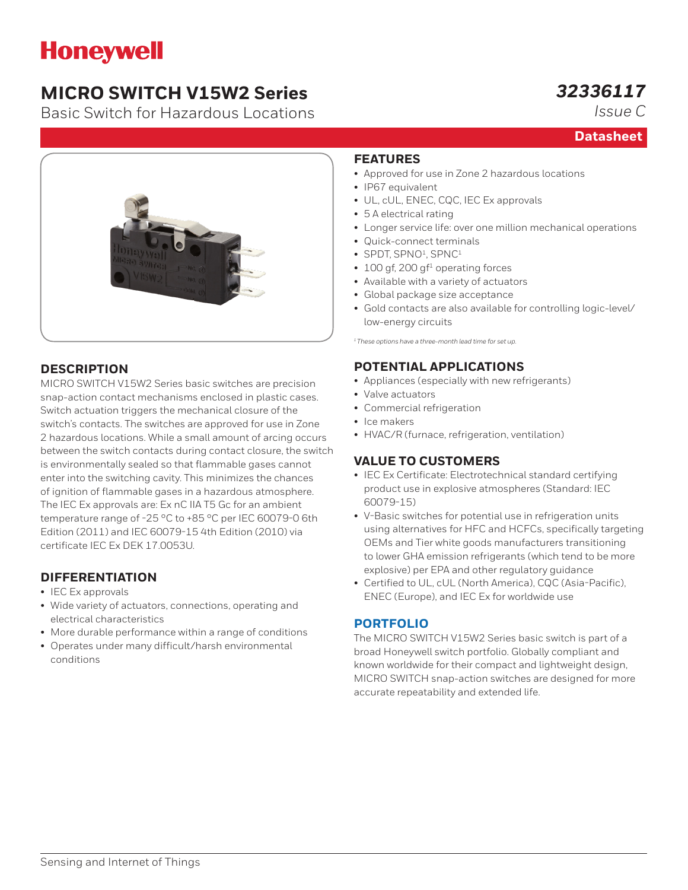# **Honeywell**

# **MICRO SWITCH V15W2 Series**

Basic Switch for Hazardous Locations

# *32336117*

*Issue C*

**Datasheet**



## **DESCRIPTION**

MICRO SWITCH V15W2 Series basic switches are precision snap-action contact mechanisms enclosed in plastic cases. Switch actuation triggers the mechanical closure of the switch's contacts. The switches are approved for use in Zone 2 hazardous locations. While a small amount of arcing occurs between the switch contacts during contact closure, the switch is environmentally sealed so that flammable gases cannot enter into the switching cavity. This minimizes the chances of ignition of flammable gases in a hazardous atmosphere. The IEC Ex approvals are: Ex nC IIA T5 Gc for an ambient temperature range of -25 °C to +85 °C per IEC 60079-0 6th Edition (2011) and IEC 60079-15 4th Edition (2010) via certificate IEC Ex DEK 17.0053U.

## **DIFFERENTIATION**

- IEC Ex approvals
- Wide variety of actuators, connections, operating and electrical characteristics
- More durable performance within a range of conditions
- Operates under many difficult/harsh environmental conditions

#### **FEATURES**

- Approved for use in Zone 2 hazardous locations
- IP67 equivalent
- UL, cUL, ENEC, CQC, IEC Ex approvals
- 5 A electrical rating
- Longer service life: over one million mechanical operations
- Quick-connect terminals
- SPDT, SPNO<sup>1</sup>, SPNC<sup>1</sup>
- $\cdot$  100 gf, 200 gf<sup>1</sup> operating forces
- Available with a variety of actuators
- Global package size acceptance
- Gold contacts are also available for controlling logic-level/ low-energy circuits

*1 These options have a three-month lead time for set up.*

### **POTENTIAL APPLICATIONS**

- Appliances (especially with new refrigerants)
- Valve actuators
- Commercial refrigeration
- Ice makers
- HVAC/R (furnace, refrigeration, ventilation)

## **VALUE TO CUSTOMERS**

- IEC Ex Certificate: Electrotechnical standard certifying product use in explosive atmospheres (Standard: IEC 60079-15)
- V-Basic switches for potential use in refrigeration units using alternatives for HFC and HCFCs, specifically targeting OEMs and Tier white goods manufacturers transitioning to lower GHA emission refrigerants (which tend to be more explosive) per EPA and other regulatory guidance
- Certified to UL, cUL (North America), CQC (Asia-Pacific), ENEC (Europe), and IEC Ex for worldwide use

### **[PORTFOLIO](https://sensing.honeywell.com/switches/basic-switches)**

The MICRO SWITCH V15W2 Series basic switch is part of a broad Honeywell switch portfolio. Globally compliant and known worldwide for their compact and lightweight design, MICRO SWITCH snap-action switches are designed for more accurate repeatability and extended life.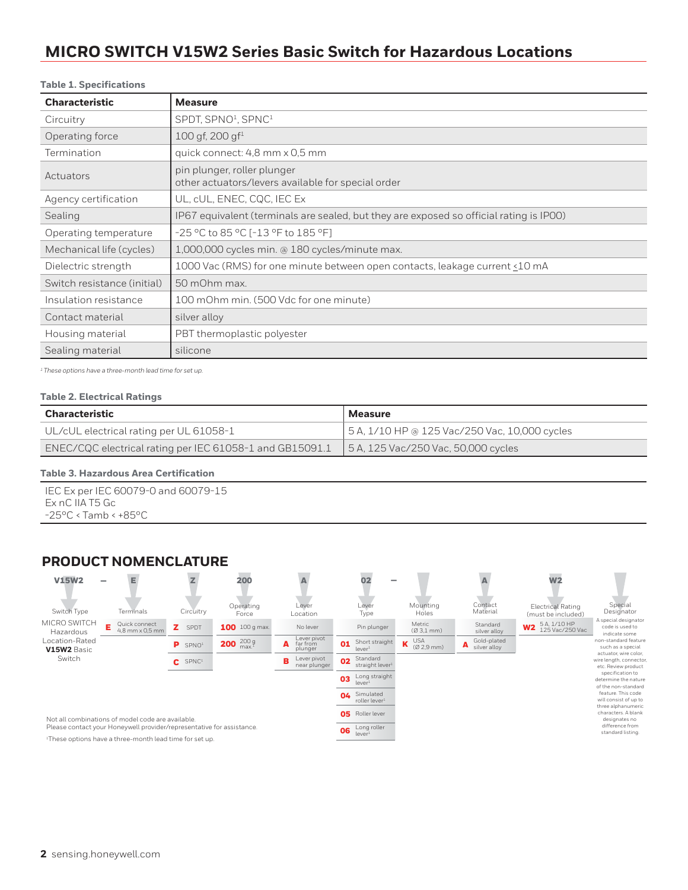## **MICRO SWITCH V15W2 Series Basic Switch for Hazardous Locations**

#### **Table 1. Specifications**

| <b>Characteristic</b>       | <b>Measure</b>                                                                          |
|-----------------------------|-----------------------------------------------------------------------------------------|
| Circuitry                   | SPDT, SPNO <sup>1</sup> , SPNC <sup>1</sup>                                             |
| Operating force             | $100$ gf, $200$ gf <sup>1</sup>                                                         |
| Termination                 | quick connect: 4,8 mm x 0,5 mm                                                          |
| Actuators                   | pin plunger, roller plunger<br>other actuators/levers available for special order       |
| Agency certification        | UL, cUL, ENEC, CQC, IEC Ex                                                              |
| Sealing                     | IP67 equivalent (terminals are sealed, but they are exposed so official rating is IPOO) |
| Operating temperature       | -25 °C to 85 °C [-13 °F to 185 °F]                                                      |
| Mechanical life (cycles)    | 1,000,000 cycles min. @ 180 cycles/minute max.                                          |
| Dielectric strength         | 1000 Vac (RMS) for one minute between open contacts, leakage current <10 mA             |
| Switch resistance (initial) | 50 mOhm max.                                                                            |
| Insulation resistance       | 100 mOhm min. (500 Vdc for one minute)                                                  |
| Contact material            | silver alloy                                                                            |
| Housing material            | PBT thermoplastic polyester                                                             |
| Sealing material            | silicone                                                                                |

*1 These options have a three-month lead time for set up.*

#### **Table 2. Electrical Ratings**

| <b>Characteristic</b>                                    | Measure                                       |
|----------------------------------------------------------|-----------------------------------------------|
| UL/cUL electrical rating per UL 61058-1                  | 5 A, 1/10 HP @ 125 Vac/250 Vac, 10,000 cycles |
| ENEC/CQC electrical rating per IEC 61058-1 and GB15091.1 | $\vert$ 5 A, 125 Vac/250 Vac, 50,000 cycles   |

#### **Table 3. Hazardous Area Certification**

IEC Ex per IEC 60079-0 and 60079-15 Ex nC IIA T5 Gc -25°C < Tamb < +85°C

#### **PRODUCT NOMENCLATURE**

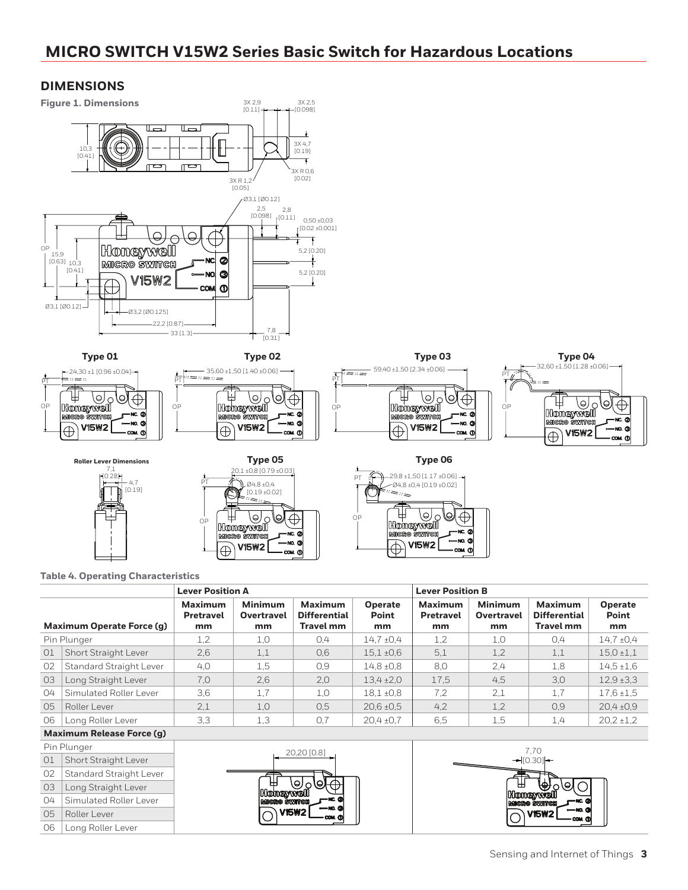## **MICRO SWITCH V15W2 Series Basic Switch for Hazardous Locations**

#### **DIMENSIONS**



|                           |                           | <b>Lever Position A</b>                  |                                           |                                                    |                               | <b>Lever Position B</b>                  |                                    |                                                    |                               |
|---------------------------|---------------------------|------------------------------------------|-------------------------------------------|----------------------------------------------------|-------------------------------|------------------------------------------|------------------------------------|----------------------------------------------------|-------------------------------|
|                           | Maximum Operate Force (q) | <b>Maximum</b><br><b>Pretravel</b><br>mm | <b>Minimum</b><br><b>Overtravel</b><br>mm | Maximum<br><b>Differential</b><br><b>Travel mm</b> | <b>Operate</b><br>Point<br>mm | <b>Maximum</b><br><b>Pretravel</b><br>mm | <b>Minimum</b><br>Overtravel<br>mm | Maximum<br><b>Differential</b><br><b>Travel mm</b> | <b>Operate</b><br>Point<br>mm |
|                           | Pin Plunger               | 1,2                                      | 1,0                                       | 0,4                                                | $14.7 \pm 0.4$                | 1,2                                      | 1,0                                | 0,4                                                | $14.7 \pm 0.4$                |
| O <sub>1</sub>            | Short Straight Lever      | 2.6                                      | 1,1                                       | 0.6                                                | $15.1 \pm 0.6$                | 5.1                                      | 1,2                                | 1,1                                                | $15.0 \pm 1.1$                |
| 02                        | Standard Straight Lever   | 4,0                                      | 1,5                                       | 0.9                                                | $14.8 \pm 0.8$                | 8.0                                      | 2.4                                | 1,8                                                | $14.5 \pm 1.6$                |
| 03                        | Long Straight Lever       | 7.0                                      | 2,6                                       | 2,0                                                | $13.4 \pm 2.0$                | 17.5                                     | 4.5                                | 3,0                                                | $12.9 \pm 3.3$                |
| 04                        | Simulated Roller Lever    | 3,6                                      | 1,7                                       | 1,0                                                | $18.1 \pm 0.8$                | 7.2                                      | 2,1                                | 1,7                                                | $17.6 \pm 1.5$                |
| O <sub>5</sub>            | Roller Lever              | 2.1                                      | 1,0                                       | 0.5                                                | $20.6 \pm 0.5$                | 4,2                                      | 1,2                                | 0,9                                                | $20.4 \pm 0.9$                |
| 06                        | Long Roller Lever         | 3,3                                      | 1,3                                       | 0,7                                                | $20.4 \pm 0.7$                | 6,5                                      | 1,5                                | 1,4                                                | $20.2 \pm 1.2$                |
| Maximum Polonce Farce (a) |                           |                                          |                                           |                                                    |                               |                                          |                                    |                                                    |                               |

#### **Maximum Release Force (g)**

|                | Pin Plunger                    |
|----------------|--------------------------------|
| O <sub>1</sub> | Short Straight Lever           |
| 02             | <b>Standard Straight Lever</b> |
| 03             | Long Straight Lever            |
| 04             | Simulated Roller Lever         |
| 05             | Roller Lever                   |
| 06             | Long Roller Lever              |